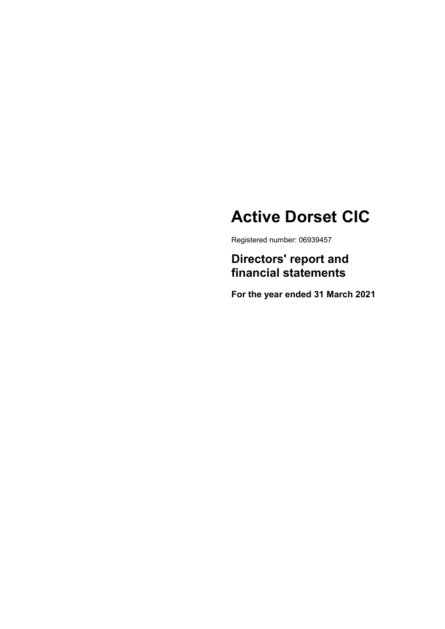# Active Dorset CIC

Registered number: 06939457

Directors' report and financial statements

For the year ended 31 March 2021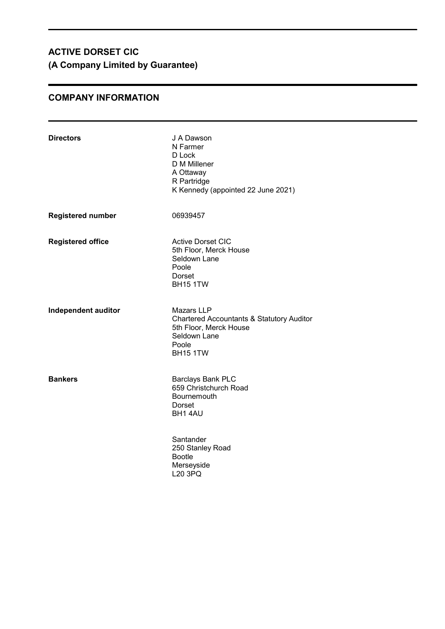# COMPANY INFORMATION

| <b>Directors</b>           | J A Dawson<br>N Farmer<br>D Lock<br>D M Millener<br>A Ottaway<br>R Partridge<br>K Kennedy (appointed 22 June 2021)                       |
|----------------------------|------------------------------------------------------------------------------------------------------------------------------------------|
| <b>Registered number</b>   | 06939457                                                                                                                                 |
| <b>Registered office</b>   | <b>Active Dorset CIC</b><br>5th Floor, Merck House<br>Seldown Lane<br>Poole<br>Dorset<br><b>BH15 1TW</b>                                 |
| <b>Independent auditor</b> | Mazars LLP<br><b>Chartered Accountants &amp; Statutory Auditor</b><br>5th Floor, Merck House<br>Seldown Lane<br>Poole<br><b>BH15 1TW</b> |
| <b>Bankers</b>             | Barclays Bank PLC<br>659 Christchurch Road<br>Bournemouth<br>Dorset<br>BH1 4AU                                                           |
|                            | Santander<br>250 Stanley Road<br><b>Bootle</b><br>Merseyside<br>L20 3PQ                                                                  |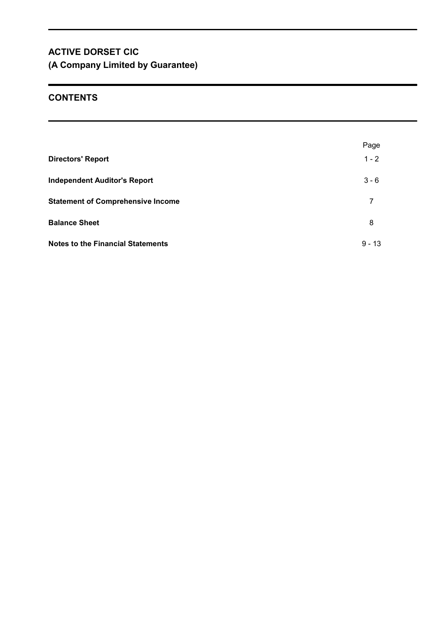# **CONTENTS**

|                                          | Page     |
|------------------------------------------|----------|
| <b>Directors' Report</b>                 | $1 - 2$  |
| <b>Independent Auditor's Report</b>      | $3 - 6$  |
| <b>Statement of Comprehensive Income</b> | 7        |
| <b>Balance Sheet</b>                     | 8        |
| <b>Notes to the Financial Statements</b> | $9 - 13$ |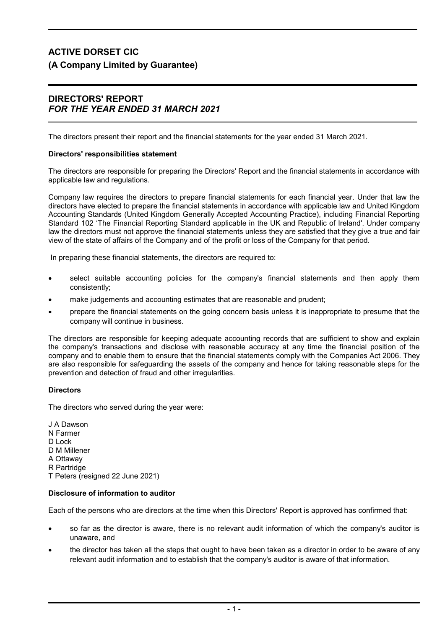# DIRECTORS' REPORT FOR THE YEAR ENDED 31 MARCH 2021

The directors present their report and the financial statements for the year ended 31 March 2021.

### Directors' responsibilities statement

The directors are responsible for preparing the Directors' Report and the financial statements in accordance with applicable law and regulations.

Company law requires the directors to prepare financial statements for each financial year. Under that law the directors have elected to prepare the financial statements in accordance with applicable law and United Kingdom Accounting Standards (United Kingdom Generally Accepted Accounting Practice), including Financial Reporting Standard 102 'The Financial Reporting Standard applicable in the UK and Republic of Ireland'. Under company law the directors must not approve the financial statements unless they are satisfied that they give a true and fair view of the state of affairs of the Company and of the profit or loss of the Company for that period.

In preparing these financial statements, the directors are required to:

- select suitable accounting policies for the company's financial statements and then apply them consistently;
- make judgements and accounting estimates that are reasonable and prudent;
- prepare the financial statements on the going concern basis unless it is inappropriate to presume that the company will continue in business.

The directors are responsible for keeping adequate accounting records that are sufficient to show and explain the company's transactions and disclose with reasonable accuracy at any time the financial position of the company and to enable them to ensure that the financial statements comply with the Companies Act 2006. They are also responsible for safeguarding the assets of the company and hence for taking reasonable steps for the prevention and detection of fraud and other irregularities.

### **Directors**

The directors who served during the year were:

J A Dawson N Farmer D Lock D M Millener A Ottaway R Partridge T Peters (resigned 22 June 2021)

### Disclosure of information to auditor

Each of the persons who are directors at the time when this Directors' Report is approved has confirmed that:

- so far as the director is aware, there is no relevant audit information of which the company's auditor is unaware, and
- the director has taken all the steps that ought to have been taken as a director in order to be aware of any relevant audit information and to establish that the company's auditor is aware of that information.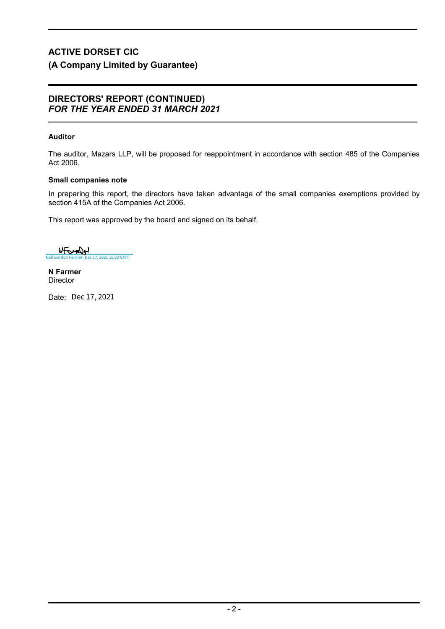# DIRECTORS' REPORT (CONTINUED) FOR THE YEAR ENDED 31 MARCH 2021

# Auditor

The auditor, Mazars LLP, will be proposed for reappointment in accordance with section 485 of the Companies Act 2006.

# Small companies note

In preparing this report, the directors have taken advantage of the small companies exemptions provided by section 415A of the Companies Act 2006.

This report was approved by the board and signed on its behalf.

WFOMON [Neil Gordon Farmer \(Dec 17, 2021 16:33 GMT\)](https://mazars.eu1.documents.adobe.com/verifier?tx=CBJCHBCAABAACRIw1mGB94dPwoK8UP7HOxDx4zayWcAl)

N Farmer **Director** 

Date: Dec 17, 2021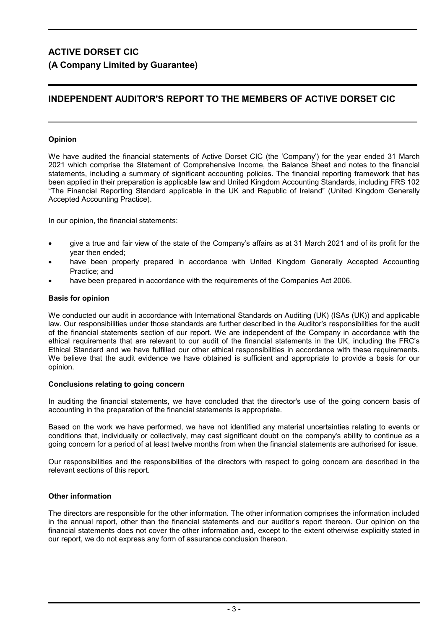# INDEPENDENT AUDITOR'S REPORT TO THE MEMBERS OF ACTIVE DORSET CIC

# Opinion

We have audited the financial statements of Active Dorset CIC (the 'Company') for the year ended 31 March 2021 which comprise the Statement of Comprehensive Income, the Balance Sheet and notes to the financial statements, including a summary of significant accounting policies. The financial reporting framework that has been applied in their preparation is applicable law and United Kingdom Accounting Standards, including FRS 102 "The Financial Reporting Standard applicable in the UK and Republic of Ireland" (United Kingdom Generally Accepted Accounting Practice).

In our opinion, the financial statements:

- give a true and fair view of the state of the Company's affairs as at 31 March 2021 and of its profit for the year then ended;
- have been properly prepared in accordance with United Kingdom Generally Accepted Accounting Practice; and
- have been prepared in accordance with the requirements of the Companies Act 2006.

### Basis for opinion

We conducted our audit in accordance with International Standards on Auditing (UK) (ISAs (UK)) and applicable law. Our responsibilities under those standards are further described in the Auditor's responsibilities for the audit of the financial statements section of our report. We are independent of the Company in accordance with the ethical requirements that are relevant to our audit of the financial statements in the UK, including the FRC's Ethical Standard and we have fulfilled our other ethical responsibilities in accordance with these requirements. We believe that the audit evidence we have obtained is sufficient and appropriate to provide a basis for our opinion.

### Conclusions relating to going concern

In auditing the financial statements, we have concluded that the director's use of the going concern basis of accounting in the preparation of the financial statements is appropriate.

Based on the work we have performed, we have not identified any material uncertainties relating to events or conditions that, individually or collectively, may cast significant doubt on the company's ability to continue as a going concern for a period of at least twelve months from when the financial statements are authorised for issue.

Our responsibilities and the responsibilities of the directors with respect to going concern are described in the relevant sections of this report.

### Other information

The directors are responsible for the other information. The other information comprises the information included in the annual report, other than the financial statements and our auditor's report thereon. Our opinion on the financial statements does not cover the other information and, except to the extent otherwise explicitly stated in our report, we do not express any form of assurance conclusion thereon.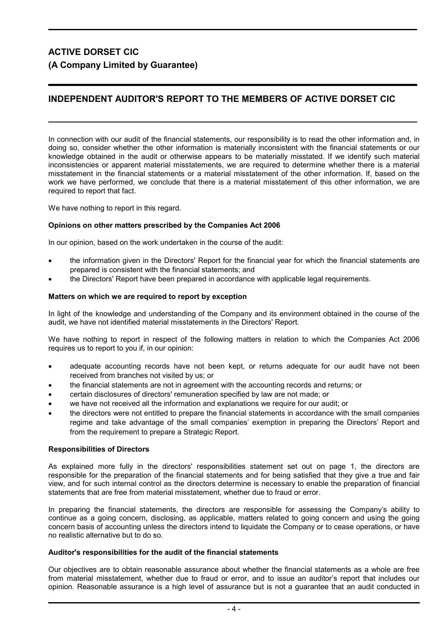# INDEPENDENT AUDITOR'S REPORT TO THE MEMBERS OF ACTIVE DORSET CIC

In connection with our audit of the financial statements, our responsibility is to read the other information and, in doing so, consider whether the other information is materially inconsistent with the financial statements or our knowledge obtained in the audit or otherwise appears to be materially misstated. If we identify such material inconsistencies or apparent material misstatements, we are required to determine whether there is a material misstatement in the financial statements or a material misstatement of the other information. If, based on the work we have performed, we conclude that there is a material misstatement of this other information, we are required to report that fact.

We have nothing to report in this regard.

### Opinions on other matters prescribed by the Companies Act 2006

In our opinion, based on the work undertaken in the course of the audit:

- the information given in the Directors' Report for the financial year for which the financial statements are prepared is consistent with the financial statements; and
- the Directors' Report have been prepared in accordance with applicable legal requirements.

#### Matters on which we are required to report by exception

In light of the knowledge and understanding of the Company and its environment obtained in the course of the audit, we have not identified material misstatements in the Directors' Report.

We have nothing to report in respect of the following matters in relation to which the Companies Act 2006 requires us to report to you if, in our opinion:

- adequate accounting records have not been kept, or returns adequate for our audit have not been received from branches not visited by us; or
- the financial statements are not in agreement with the accounting records and returns; or
- certain disclosures of directors' remuneration specified by law are not made; or
- we have not received all the information and explanations we require for our audit; or
- the directors were not entitled to prepare the financial statements in accordance with the small companies regime and take advantage of the small companies' exemption in preparing the Directors' Report and from the requirement to prepare a Strategic Report.

### Responsibilities of Directors

As explained more fully in the directors' responsibilities statement set out on page 1, the directors are responsible for the preparation of the financial statements and for being satisfied that they give a true and fair view, and for such internal control as the directors determine is necessary to enable the preparation of financial statements that are free from material misstatement, whether due to fraud or error.

In preparing the financial statements, the directors are responsible for assessing the Company's ability to continue as a going concern, disclosing, as applicable, matters related to going concern and using the going concern basis of accounting unless the directors intend to liquidate the Company or to cease operations, or have no realistic alternative but to do so.

#### Auditor's responsibilities for the audit of the financial statements

Our objectives are to obtain reasonable assurance about whether the financial statements as a whole are free from material misstatement, whether due to fraud or error, and to issue an auditor's report that includes our opinion. Reasonable assurance is a high level of assurance but is not a guarantee that an audit conducted in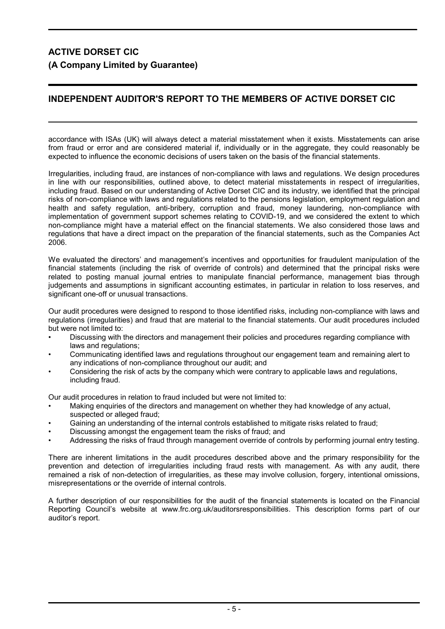# INDEPENDENT AUDITOR'S REPORT TO THE MEMBERS OF ACTIVE DORSET CIC

accordance with ISAs (UK) will always detect a material misstatement when it exists. Misstatements can arise from fraud or error and are considered material if, individually or in the aggregate, they could reasonably be expected to influence the economic decisions of users taken on the basis of the financial statements.

Irregularities, including fraud, are instances of non-compliance with laws and regulations. We design procedures in line with our responsibilities, outlined above, to detect material misstatements in respect of irregularities, including fraud. Based on our understanding of Active Dorset CIC and its industry, we identified that the principal risks of non-compliance with laws and regulations related to the pensions legislation, employment regulation and health and safety regulation, anti-bribery, corruption and fraud, money laundering, non-compliance with implementation of government support schemes relating to COVID-19, and we considered the extent to which non-compliance might have a material effect on the financial statements. We also considered those laws and regulations that have a direct impact on the preparation of the financial statements, such as the Companies Act 2006.

We evaluated the directors' and management's incentives and opportunities for fraudulent manipulation of the financial statements (including the risk of override of controls) and determined that the principal risks were related to posting manual journal entries to manipulate financial performance, management bias through judgements and assumptions in significant accounting estimates, in particular in relation to loss reserves, and significant one-off or unusual transactions.

Our audit procedures were designed to respond to those identified risks, including non-compliance with laws and regulations (irregularities) and fraud that are material to the financial statements. Our audit procedures included but were not limited to:

- Discussing with the directors and management their policies and procedures regarding compliance with laws and regulations;
- Communicating identified laws and regulations throughout our engagement team and remaining alert to any indications of non-compliance throughout our audit; and
- Considering the risk of acts by the company which were contrary to applicable laws and regulations, including fraud.

Our audit procedures in relation to fraud included but were not limited to:

- Making enquiries of the directors and management on whether they had knowledge of any actual, suspected or alleged fraud:
- Gaining an understanding of the internal controls established to mitigate risks related to fraud;
- Discussing amongst the engagement team the risks of fraud; and
- Addressing the risks of fraud through management override of controls by performing journal entry testing.

There are inherent limitations in the audit procedures described above and the primary responsibility for the prevention and detection of irregularities including fraud rests with management. As with any audit, there remained a risk of non-detection of irregularities, as these may involve collusion, forgery, intentional omissions, misrepresentations or the override of internal controls.

A further description of our responsibilities for the audit of the financial statements is located on the Financial Reporting Council's website at www.frc.org.uk/auditorsresponsibilities. This description forms part of our auditor's report.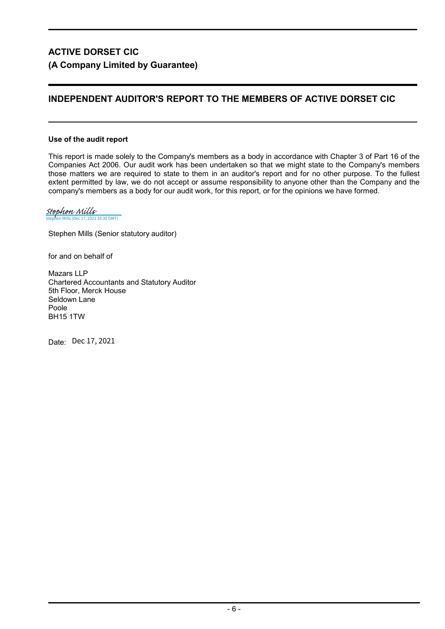# INDEPENDENT AUDITOR'S REPORT TO THE MEMBERS OF ACTIVE DORSET CIC

# Use of the audit report

This report is made solely to the Company's members as a body in accordance with Chapter 3 of Part 16 of the Companies Act 2006. Our audit work has been undertaken so that we might state to the Company's members those matters we are required to state to them in an auditor's report and for no other purpose. To the fullest extent permitted by law, we do not accept or assume responsibility to anyone other than the Company and the company's members as a body for our audit work, for this report, or for the opinions we have formed.

c 17, 2021 16:35 GMT) [Stephen Mills](https://mazars.eu1.documents.adobe.com/verifier?tx=CBJCHBCAABAACRIw1mGB94dPwoK8UP7HOxDx4zayWcAl)

Stephen Mills (Senior statutory auditor)

for and on behalf of

Mazars LLP Chartered Accountants and Statutory Auditor 5th Floor, Merck House Seldown Lane Poole BH15 1TW

Date: Dec 17, 2021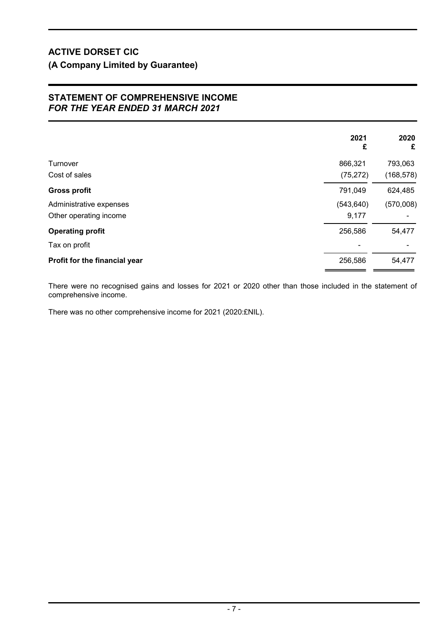# STATEMENT OF COMPREHENSIVE INCOME FOR THE YEAR ENDED 31 MARCH 2021

|                               | 2021<br>£  | 2020<br>£  |
|-------------------------------|------------|------------|
|                               |            |            |
| Turnover                      | 866,321    | 793,063    |
| Cost of sales                 | (75, 272)  | (168, 578) |
| <b>Gross profit</b>           | 791,049    | 624,485    |
| Administrative expenses       | (543, 640) | (570,008)  |
| Other operating income        | 9,177      |            |
| <b>Operating profit</b>       | 256,586    | 54,477     |
| Tax on profit                 |            |            |
| Profit for the financial year | 256,586    | 54,477     |
|                               |            |            |

There were no recognised gains and losses for 2021 or 2020 other than those included in the statement of comprehensive income.

There was no other comprehensive income for 2021 (2020:£NIL).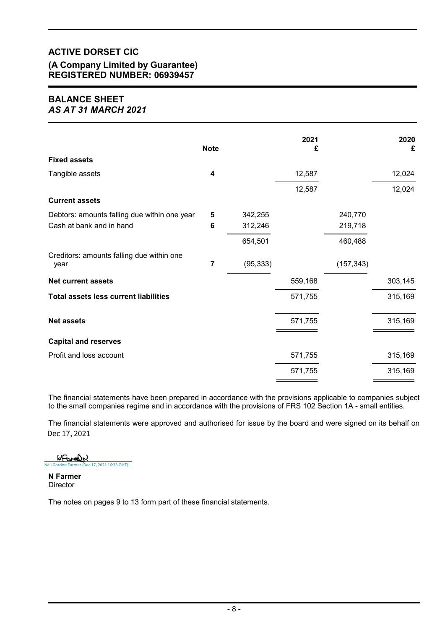# ACTIVE DORSET CIC (A Company Limited by Guarantee) REGISTERED NUMBER: 06939457

# BALANCE SHEET AS AT 31 MARCH 2021

|                                                   | <b>Note</b> |           | 2021<br>£ |            | 2020    |
|---------------------------------------------------|-------------|-----------|-----------|------------|---------|
| <b>Fixed assets</b>                               |             |           |           |            | £       |
| Tangible assets                                   | 4           |           | 12,587    |            | 12,024  |
|                                                   |             |           | 12,587    |            | 12,024  |
| <b>Current assets</b>                             |             |           |           |            |         |
| Debtors: amounts falling due within one year      | 5           | 342,255   |           | 240,770    |         |
| Cash at bank and in hand                          | 6           | 312,246   |           | 219,718    |         |
|                                                   |             | 654,501   |           | 460,488    |         |
| Creditors: amounts falling due within one<br>year | 7           | (95, 333) |           | (157, 343) |         |
| <b>Net current assets</b>                         |             |           | 559,168   |            | 303,145 |
| <b>Total assets less current liabilities</b>      |             |           | 571,755   |            | 315,169 |
| <b>Net assets</b>                                 |             |           | 571,755   |            | 315,169 |
| <b>Capital and reserves</b>                       |             |           |           |            |         |
| Profit and loss account                           |             |           | 571,755   |            | 315,169 |
|                                                   |             |           | 571,755   |            | 315,169 |

The financial statements have been prepared in accordance with the provisions applicable to companies subject to the small companies regime and in accordance with the provisions of FRS 102 Section 1A - small entities.

The financial statements were approved and authorised for issue by the board and were signed on its behalf on Dec 17, 2021

Wformly [Neil Gordon Farmer \(Dec 17, 2021 16:33 GMT\)](https://mazars.eu1.documents.adobe.com/verifier?tx=CBJCHBCAABAACRIw1mGB94dPwoK8UP7HOxDx4zayWcAl)

N Farmer **Director** 

The notes on pages 9 to 13 form part of these financial statements.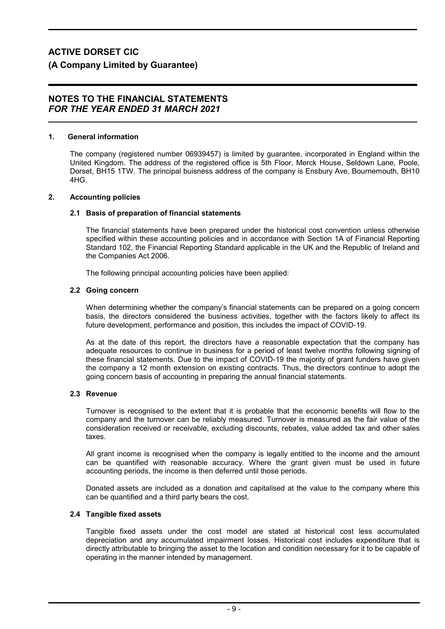### 1. General information

The company (registered number 06939457) is limited by guarantee, incorporated in England within the United Kingdom. The address of the registered office is 5th Floor, Merck House, Seldown Lane, Poole, Dorset, BH15 1TW. The principal buisness address of the company is Ensbury Ave, Bournemouth, BH10 4HG.

### 2. Accounting policies

# 2.1 Basis of preparation of financial statements

The financial statements have been prepared under the historical cost convention unless otherwise specified within these accounting policies and in accordance with Section 1A of Financial Reporting Standard 102, the Financial Reporting Standard applicable in the UK and the Republic of Ireland and the Companies Act 2006.

The following principal accounting policies have been applied:

# 2.2 Going concern

When determining whether the company's financial statements can be prepared on a going concern basis, the directors considered the business activities, together with the factors likely to affect its future development, performance and position, this includes the impact of COVID-19.

As at the date of this report, the directors have a reasonable expectation that the company has adequate resources to continue in business for a period of least twelve months following signing of these financial statements. Due to the impact of COVID-19 the majority of grant funders have given the company a 12 month extension on existing contracts. Thus, the directors continue to adopt the going concern basis of accounting in preparing the annual financial statements.

### 2.3 Revenue

Turnover is recognised to the extent that it is probable that the economic benefits will flow to the company and the turnover can be reliably measured. Turnover is measured as the fair value of the consideration received or receivable, excluding discounts, rebates, value added tax and other sales taxes.

All grant income is recognised when the company is legally entitled to the income and the amount can be quantified with reasonable accuracy. Where the grant given must be used in future accounting periods, the income is then deferred until those periods.

Donated assets are included as a donation and capitalised at the value to the company where this can be quantified and a third party bears the cost.

### 2.4 Tangible fixed assets

Tangible fixed assets under the cost model are stated at historical cost less accumulated depreciation and any accumulated impairment losses. Historical cost includes expenditure that is directly attributable to bringing the asset to the location and condition necessary for it to be capable of operating in the manner intended by management.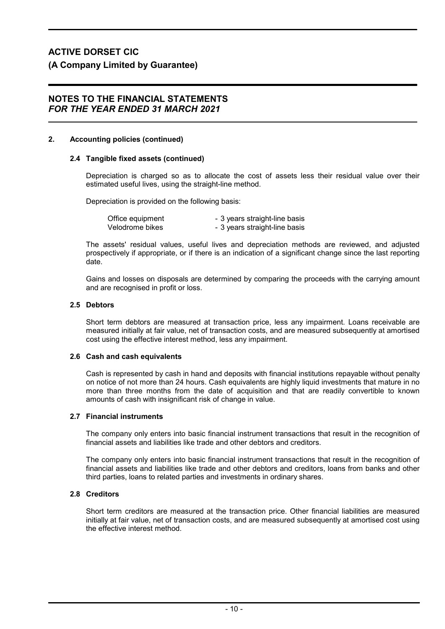### 2. Accounting policies (continued)

### 2.4 Tangible fixed assets (continued)

Depreciation is charged so as to allocate the cost of assets less their residual value over their estimated useful lives, using the straight-line method.

Depreciation is provided on the following basis:

| Office equipment | - 3 years straight-line basis |
|------------------|-------------------------------|
| Velodrome bikes  | - 3 years straight-line basis |

The assets' residual values, useful lives and depreciation methods are reviewed, and adjusted prospectively if appropriate, or if there is an indication of a significant change since the last reporting date.

Gains and losses on disposals are determined by comparing the proceeds with the carrying amount and are recognised in profit or loss.

#### 2.5 Debtors

Short term debtors are measured at transaction price, less any impairment. Loans receivable are measured initially at fair value, net of transaction costs, and are measured subsequently at amortised cost using the effective interest method, less any impairment.

#### 2.6 Cash and cash equivalents

Cash is represented by cash in hand and deposits with financial institutions repayable without penalty on notice of not more than 24 hours. Cash equivalents are highly liquid investments that mature in no more than three months from the date of acquisition and that are readily convertible to known amounts of cash with insignificant risk of change in value.

### 2.7 Financial instruments

The company only enters into basic financial instrument transactions that result in the recognition of financial assets and liabilities like trade and other debtors and creditors.

The company only enters into basic financial instrument transactions that result in the recognition of financial assets and liabilities like trade and other debtors and creditors, loans from banks and other third parties, loans to related parties and investments in ordinary shares.

# 2.8 Creditors

Short term creditors are measured at the transaction price. Other financial liabilities are measured initially at fair value, net of transaction costs, and are measured subsequently at amortised cost using the effective interest method.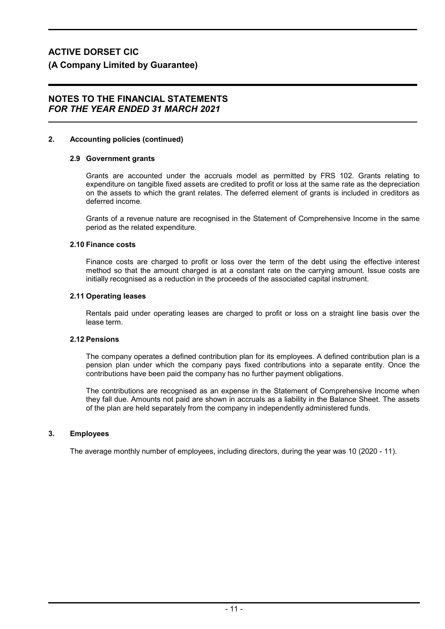# 2. Accounting policies (continued)

### 2.9 Government grants

Grants are accounted under the accruals model as permitted by FRS 102. Grants relating to expenditure on tangible fixed assets are credited to profit or loss at the same rate as the depreciation on the assets to which the grant relates. The deferred element of grants is included in creditors as deferred income.

Grants of a revenue nature are recognised in the Statement of Comprehensive Income in the same period as the related expenditure.

### 2.10 Finance costs

Finance costs are charged to profit or loss over the term of the debt using the effective interest method so that the amount charged is at a constant rate on the carrying amount. Issue costs are initially recognised as a reduction in the proceeds of the associated capital instrument.

#### 2.11 Operating leases

Rentals paid under operating leases are charged to profit or loss on a straight line basis over the lease term.

### 2.12 Pensions

The company operates a defined contribution plan for its employees. A defined contribution plan is a pension plan under which the company pays fixed contributions into a separate entity. Once the contributions have been paid the company has no further payment obligations.

The contributions are recognised as an expense in the Statement of Comprehensive Income when they fall due. Amounts not paid are shown in accruals as a liability in the Balance Sheet. The assets of the plan are held separately from the company in independently administered funds.

### 3. Employees

The average monthly number of employees, including directors, during the year was 10 (2020 - 11).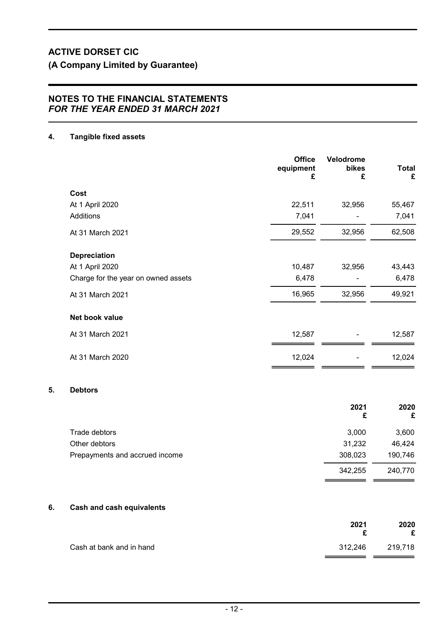# NOTES TO THE FINANCIAL STATEMENTS FOR THE YEAR ENDED 31 MARCH 2021

# 4. Tangible fixed assets

 $5.$ 

|    |                                     | <b>Office</b><br>equipment<br>£ | Velodrome<br>bikes<br>£ | <b>Total</b><br>£ |
|----|-------------------------------------|---------------------------------|-------------------------|-------------------|
|    | Cost                                |                                 |                         |                   |
|    | At 1 April 2020                     | 22,511                          | 32,956                  | 55,467            |
|    | Additions                           | 7,041                           |                         | 7,041             |
|    | At 31 March 2021                    | 29,552                          | 32,956                  | 62,508            |
|    | <b>Depreciation</b>                 |                                 |                         |                   |
|    | At 1 April 2020                     | 10,487                          | 32,956                  | 43,443            |
|    | Charge for the year on owned assets | 6,478                           |                         | 6,478             |
|    | At 31 March 2021                    | 16,965                          | 32,956                  | 49,921            |
|    | Net book value                      |                                 |                         |                   |
|    | At 31 March 2021                    | 12,587                          |                         | 12,587            |
|    | At 31 March 2020                    | 12,024                          |                         | 12,024            |
| 5. | <b>Debtors</b>                      |                                 |                         |                   |
|    |                                     |                                 | 2021<br>£               | 2020<br>£         |
|    | Trade debtors                       |                                 | 3,000                   | 3,600             |
|    | Other debtors                       |                                 | 31,232                  | 46,424            |
|    | Prepayments and accrued income      |                                 | 308,023                 | 190,746           |
|    |                                     |                                 | 342,255                 | 240,770           |
| 6. | <b>Cash and cash equivalents</b>    |                                 |                         |                   |

|                          | 2021    | 2020<br>£ |
|--------------------------|---------|-----------|
| Cash at bank and in hand | 312,246 | 219,718   |